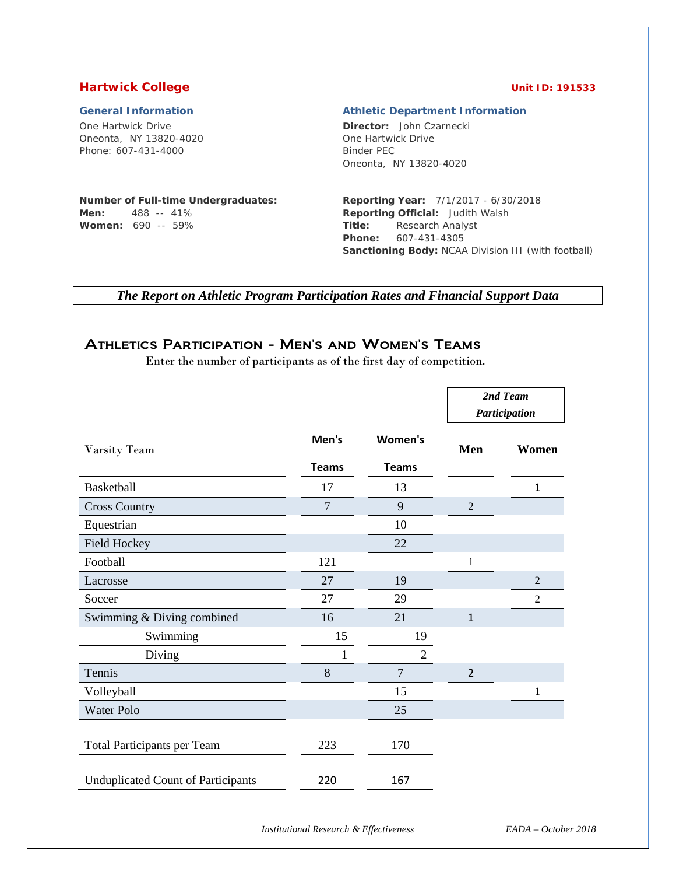#### **Hartwick College College College College College College College College College College College College College**

One Hartwick Drive Oneonta, NY 13820-4020 Phone: 607-431-4000

#### **General Information Athletic Department Information**

**Director:** John Czarnecki

#### **Number of Full-time Undergraduates: Men:** 488 -- 41%

**Women:** 690 -- 59%

# One Hartwick Drive Binder PEC Oneonta, NY 13820-4020

**Reporting Year:** 7/1/2017 - 6/30/2018 **Reporting Official:** Judith Walsh **Title:** Research Analyst **Phone:** 607-431-4305 **Sanctioning Body:** NCAA Division III (with football)

*The Report on Athletic Program Participation Rates and Financial Support Data*

# Athletics Participation - Men's and Women's Teams

Enter the number of participants as of the first day of competition.

|                                           |                |                |                | 2nd Team<br>Participation |
|-------------------------------------------|----------------|----------------|----------------|---------------------------|
| Varsity Team                              | Men's          | Women's        | Men            | Women                     |
|                                           | <b>Teams</b>   | <b>Teams</b>   |                |                           |
| <b>Basketball</b>                         | 17             | 13             |                | $\mathbf{1}$              |
| <b>Cross Country</b>                      | $\overline{7}$ | 9              | $\overline{2}$ |                           |
| Equestrian                                |                | 10             |                |                           |
| <b>Field Hockey</b>                       |                | 22             |                |                           |
| Football                                  | 121            |                | 1              |                           |
| Lacrosse                                  | 27             | 19             |                | $\overline{2}$            |
| Soccer                                    | 27             | 29             |                | $\overline{2}$            |
| Swimming & Diving combined                | 16             | 21             | 1              |                           |
| Swimming                                  | 15             | 19             |                |                           |
| Diving                                    | $\mathbf{1}$   | $\overline{2}$ |                |                           |
| Tennis                                    | 8              | $\overline{7}$ | $\overline{2}$ |                           |
| Volleyball                                |                | 15             |                | $\mathbf{1}$              |
| <b>Water Polo</b>                         |                | 25             |                |                           |
| <b>Total Participants per Team</b>        | 223            | 170            |                |                           |
| <b>Unduplicated Count of Participants</b> | 220            | 167            |                |                           |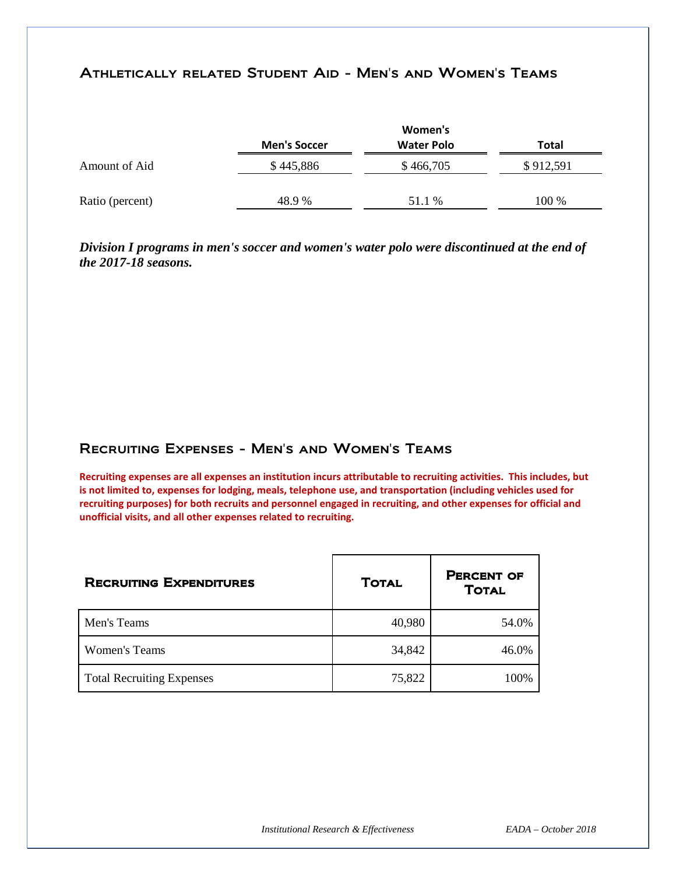### Athletically related Student Aid - Men's and Women's Teams

|                 |                     | Women's           |           |
|-----------------|---------------------|-------------------|-----------|
|                 | <b>Men's Soccer</b> | <b>Water Polo</b> | Total     |
| Amount of Aid   | \$445,886           | \$466,705         | \$912,591 |
| Ratio (percent) | 48.9%               | 51.1 %            | 100 %     |

*Division I programs in men's soccer and women's water polo were discontinued at the end of the 2017-18 seasons.*

### Recruiting Expenses - Men's and Women's Teams

**Recruiting expenses are all expenses an institution incurs attributable to recruiting activities. This includes, but is not limited to, expenses for lodging, meals, telephone use, and transportation (including vehicles used for recruiting purposes) for both recruits and personnel engaged in recruiting, and other expenses for official and unofficial visits, and all other expenses related to recruiting.** 

| <b>RECRUITING EXPENDITURES</b>   | <b>TOTAL</b> | <b>PERCENT OF</b><br><b>TOTAL</b> |
|----------------------------------|--------------|-----------------------------------|
| Men's Teams                      | 40,980       | 54.0%                             |
| Women's Teams                    | 34,842       | 46.0%                             |
| <b>Total Recruiting Expenses</b> | 75,822       | 100%                              |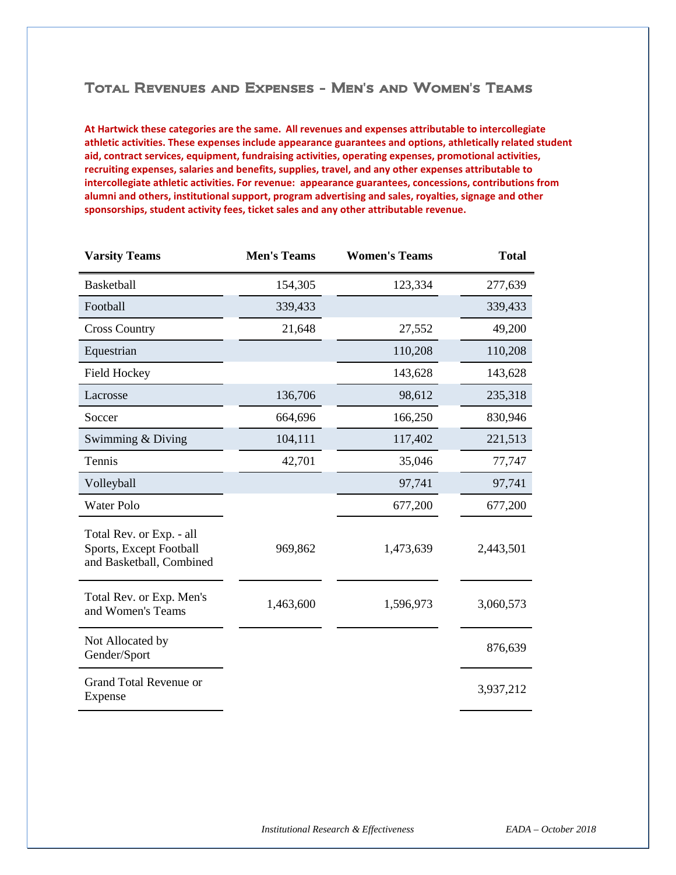### Total Revenues and Expenses - Men's and Women's Teams

**At Hartwick these categories are the same. All revenues and expenses attributable to intercollegiate athletic activities. These expenses include appearance guarantees and options, athletically related student aid, contract services, equipment, fundraising activities, operating expenses, promotional activities, recruiting expenses, salaries and benefits, supplies, travel, and any other expenses attributable to intercollegiate athletic activities. For revenue: appearance guarantees, concessions, contributions from alumni and others, institutional support, program advertising and sales, royalties, signage and other sponsorships, student activity fees, ticket sales and any other attributable revenue.**

| <b>Varsity Teams</b>                                                            | <b>Men's Teams</b> | <b>Women's Teams</b> | <b>Total</b> |
|---------------------------------------------------------------------------------|--------------------|----------------------|--------------|
| Basketball                                                                      | 154,305            | 123,334              | 277,639      |
| Football                                                                        | 339,433            |                      | 339,433      |
| <b>Cross Country</b>                                                            | 21,648             | 27,552               | 49,200       |
| Equestrian                                                                      |                    | 110,208              | 110,208      |
| <b>Field Hockey</b>                                                             |                    | 143,628              | 143,628      |
| Lacrosse                                                                        | 136,706            | 98,612               | 235,318      |
| Soccer                                                                          | 664,696            | 166,250              | 830,946      |
| Swimming $& Diving$                                                             | 104,111            | 117,402              | 221,513      |
| Tennis                                                                          | 42,701             | 35,046               | 77,747       |
| Volleyball                                                                      |                    | 97,741               | 97,741       |
| <b>Water Polo</b>                                                               |                    | 677,200              | 677,200      |
| Total Rev. or Exp. - all<br>Sports, Except Football<br>and Basketball, Combined | 969,862            | 1,473,639            | 2,443,501    |
| Total Rev. or Exp. Men's<br>and Women's Teams                                   | 1,463,600          | 1,596,973            | 3,060,573    |
| Not Allocated by<br>Gender/Sport                                                |                    |                      | 876,639      |
| <b>Grand Total Revenue or</b><br>Expense                                        |                    |                      | 3,937,212    |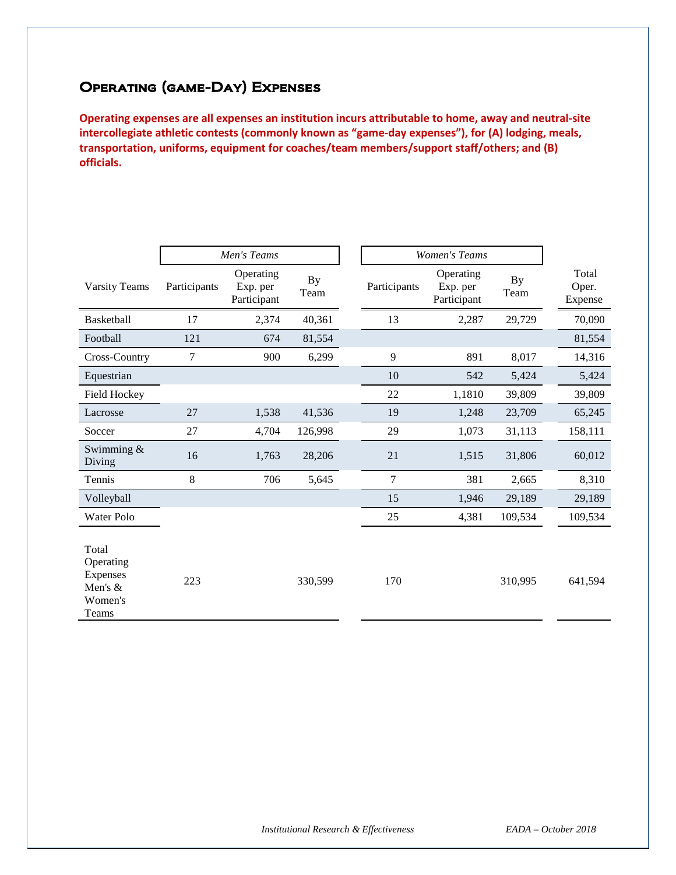# Operating (game-Day) Expenses

**Operating expenses are all expenses an institution incurs attributable to home, away and neutral-site intercollegiate athletic contests (commonly known as "game-day expenses"), for (A) lodging, meals, transportation, uniforms, equipment for coaches/team members/support staff/others; and (B) officials.**

|                                                               |              | Men's Teams                          |                   | <b>Women's Teams</b> |                                      |                   |                           |
|---------------------------------------------------------------|--------------|--------------------------------------|-------------------|----------------------|--------------------------------------|-------------------|---------------------------|
| <b>Varsity Teams</b>                                          | Participants | Operating<br>Exp. per<br>Participant | <b>By</b><br>Team | Participants         | Operating<br>Exp. per<br>Participant | <b>By</b><br>Team | Total<br>Oper.<br>Expense |
| Basketball                                                    | 17           | 2,374                                | 40,361            | 13                   | 2,287                                | 29,729            | 70,090                    |
| Football                                                      | 121          | 674                                  | 81,554            |                      |                                      |                   | 81,554                    |
| Cross-Country                                                 | 7            | 900                                  | 6,299             | 9                    | 891                                  | 8,017             | 14,316                    |
| Equestrian                                                    |              |                                      |                   | 10                   | 542                                  | 5,424             | 5,424                     |
| Field Hockey                                                  |              |                                      |                   | 22                   | 1,1810                               | 39,809            | 39,809                    |
| Lacrosse                                                      | 27           | 1,538                                | 41,536            | 19                   | 1,248                                | 23,709            | 65,245                    |
| Soccer                                                        | 27           | 4,704                                | 126,998           | 29                   | 1,073                                | 31,113            | 158,111                   |
| Swimming $&$<br>Diving                                        | 16           | 1,763                                | 28,206            | 21                   | 1,515                                | 31,806            | 60,012                    |
| Tennis                                                        | 8            | 706                                  | 5,645             | 7                    | 381                                  | 2,665             | 8,310                     |
| Volleyball                                                    |              |                                      |                   | 15                   | 1,946                                | 29,189            | 29,189                    |
| Water Polo                                                    |              |                                      |                   | 25                   | 4,381                                | 109,534           | 109,534                   |
| Total<br>Operating<br>Expenses<br>Men's &<br>Women's<br>Teams | 223          |                                      | 330,599           | 170                  |                                      | 310,995           | 641,594                   |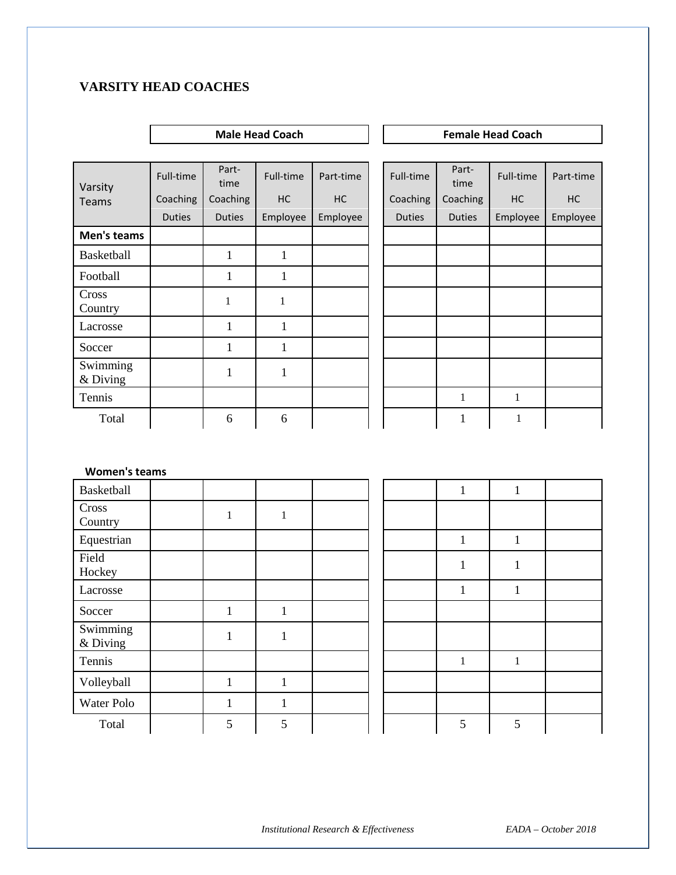#### **VARSITY HEAD COACHES**

## **Male Head Coach Female Head Coach** Full-time Part-<br>time Full-time  $Part-time$  Full-time  $Part-time$ Full-time **Part-time** Coaching Coaching | HC | HC | Coaching | Coaching | HC | HC

| Teams                | Coaching      | Coaching      | HC       | HC       | Coaching      | Coaching      | HC       | HC       |
|----------------------|---------------|---------------|----------|----------|---------------|---------------|----------|----------|
|                      | <b>Duties</b> | <b>Duties</b> | Employee | Employee | <b>Duties</b> | <b>Duties</b> | Employee | Employee |
| Men's teams          |               |               |          |          |               |               |          |          |
| Basketball           |               |               |          |          |               |               |          |          |
| Football             |               |               |          |          |               |               |          |          |
| Cross<br>Country     |               | 1             | 1        |          |               |               |          |          |
| Lacrosse             |               |               |          |          |               |               |          |          |
| Soccer               |               |               |          |          |               |               |          |          |
| Swimming<br>& Diving |               |               |          |          |               |               |          |          |
| Tennis               |               |               |          |          |               | 1             | 1        |          |
| Total                |               | 6             | 6        |          |               |               | 1        |          |

#### **Women's teams**

Varsity

| Basketball           |              |              |  | 1<br>T       | $\mathbf{1}$<br>T |  |
|----------------------|--------------|--------------|--|--------------|-------------------|--|
| Cross<br>Country     |              | 1            |  |              |                   |  |
| Equestrian           |              |              |  | 1            | 1                 |  |
| Field<br>Hockey      |              |              |  |              |                   |  |
| Lacrosse             |              |              |  | л            |                   |  |
| Soccer               | 1            |              |  |              |                   |  |
| Swimming<br>& Diving | $\mathbf{1}$ | $\mathbf{1}$ |  |              |                   |  |
| Tennis               |              |              |  | $\mathbf{1}$ | $\mathbf{1}$      |  |
| Volleyball           | 1            | $\mathbf{1}$ |  |              |                   |  |
| Water Polo           | $\mathbf{1}$ | $\mathbf{1}$ |  |              |                   |  |
| Total                | 5            | 5            |  | 5            | 5                 |  |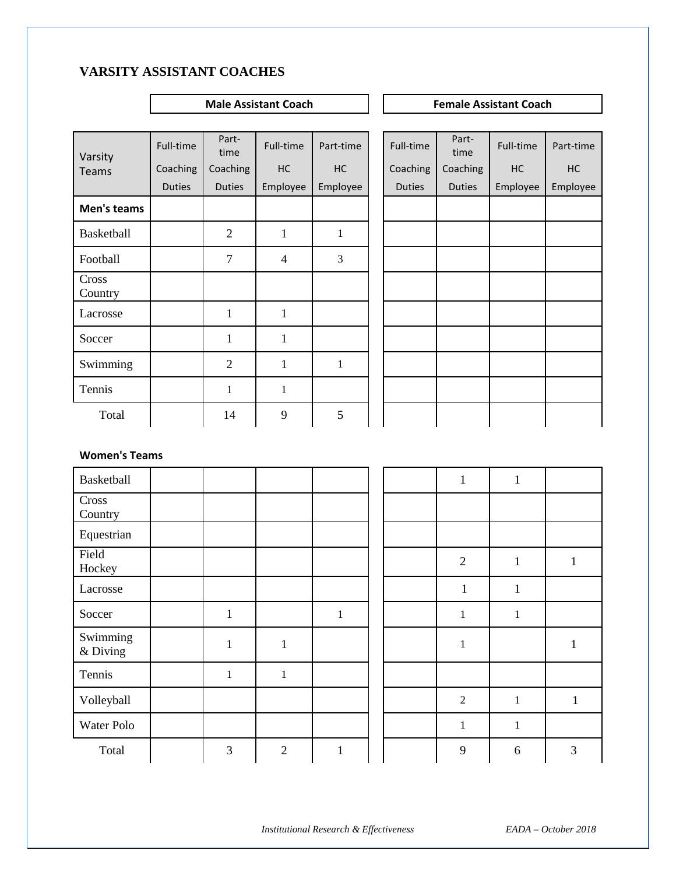## **VARSITY ASSISTANT COACHES**

### **Male Assistant Coach Female Assistant Coach**

| Varsity          | Full-time     | Part-<br>time  | Full-time      | Part-time    | Full-time     | Part-<br>time | Full-time | Part-time |
|------------------|---------------|----------------|----------------|--------------|---------------|---------------|-----------|-----------|
| <b>Teams</b>     | Coaching      | Coaching       | HC             | HC           | Coaching      | Coaching      | HC        | HC        |
|                  | <b>Duties</b> | <b>Duties</b>  | Employee       | Employee     | <b>Duties</b> | <b>Duties</b> | Employee  | Employee  |
| Men's teams      |               |                |                |              |               |               |           |           |
| Basketball       |               | $\overline{2}$ | $\mathbf{1}$   | $\mathbf{1}$ |               |               |           |           |
| Football         |               | $\overline{7}$ | $\overline{4}$ | 3            |               |               |           |           |
| Cross<br>Country |               |                |                |              |               |               |           |           |
| Lacrosse         |               | $\mathbf{1}$   | $\mathbf{1}$   |              |               |               |           |           |
| Soccer           |               | $\mathbf{1}$   | $\mathbf{1}$   |              |               |               |           |           |
| Swimming         |               | $\overline{2}$ | $\mathbf{1}$   | $\mathbf{1}$ |               |               |           |           |
| Tennis           |               | $\mathbf{1}$   | $\mathbf{1}$   |              |               |               |           |           |
| Total            |               | 14             | 9              | 5            |               |               |           |           |

| Full-time     | Part-<br>time | Full-time | Part-time |
|---------------|---------------|-----------|-----------|
| Coaching      | Coaching      | HC        | HC        |
| <b>Duties</b> | <b>Duties</b> | Employee  | Employee  |
|               |               |           |           |
|               |               |           |           |
|               |               |           |           |
|               |               |           |           |
|               |               |           |           |
|               |               |           |           |
|               |               |           |           |
|               |               |           |           |
|               |               |           |           |

#### **Women's Teams**

| Basketball           |                |              |              |  | $\mathbf{1}$   | $\mathbf{1}$ |   |
|----------------------|----------------|--------------|--------------|--|----------------|--------------|---|
| Cross<br>Country     |                |              |              |  |                |              |   |
| Equestrian           |                |              |              |  |                |              |   |
| Field<br>Hockey      |                |              |              |  | $\overline{2}$ | $\mathbf{1}$ | 1 |
| Lacrosse             |                |              |              |  | $\mathbf{1}$   | $\mathbf{1}$ |   |
| Soccer               | $\mathbf{1}$   |              | $\mathbf{1}$ |  | $\mathbf{1}$   | $\mathbf{1}$ |   |
| Swimming<br>& Diving | 1              | 1            |              |  | $\mathbf{1}$   |              |   |
| Tennis               | $\mathbf{1}$   | $\mathbf{1}$ |              |  |                |              |   |
| Volleyball           |                |              |              |  | $\overline{2}$ | $\mathbf{1}$ | 1 |
| Water Polo           |                |              |              |  | $\mathbf{1}$   | $\,1$        |   |
| Total                | $\mathfrak{Z}$ | $\mathbf{2}$ | $\mathbf{1}$ |  | 9              | 6            | 3 |